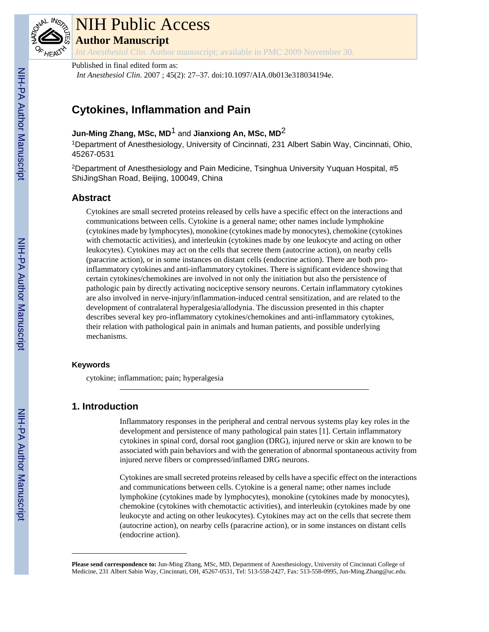

# NIH Public Access

**Author Manuscript**

*Int Anesthesiol Clin*. Author manuscript; available in PMC 2009 November 30.

## Published in final edited form as:

*Int Anesthesiol Clin*. 2007 ; 45(2): 27–37. doi:10.1097/AIA.0b013e318034194e.

## **Cytokines, Inflammation and Pain**

## **Jun-Ming Zhang, MSc, MD**1 and **Jianxiong An, MSc, MD**2

<sup>1</sup>Department of Anesthesiology, University of Cincinnati, 231 Albert Sabin Way, Cincinnati, Ohio, 45267-0531

<sup>2</sup>Department of Anesthesiology and Pain Medicine, Tsinghua University Yuquan Hospital, #5 ShiJingShan Road, Beijing, 100049, China

## **Abstract**

Cytokines are small secreted proteins released by cells have a specific effect on the interactions and communications between cells. Cytokine is a general name; other names include lymphokine (cytokines made by lymphocytes), monokine (cytokines made by monocytes), chemokine (cytokines with chemotactic activities), and interleukin (cytokines made by one leukocyte and acting on other leukocytes). Cytokines may act on the cells that secrete them (autocrine action), on nearby cells (paracrine action), or in some instances on distant cells (endocrine action). There are both proinflammatory cytokines and anti-inflammatory cytokines. There is significant evidence showing that certain cytokines/chemokines are involved in not only the initiation but also the persistence of pathologic pain by directly activating nociceptive sensory neurons. Certain inflammatory cytokines are also involved in nerve-injury/inflammation-induced central sensitization, and are related to the development of contralateral hyperalgesia/allodynia. The discussion presented in this chapter describes several key pro-inflammatory cytokines/chemokines and anti-inflammatory cytokines, their relation with pathological pain in animals and human patients, and possible underlying mechanisms.

## **Keywords**

cytokine; inflammation; pain; hyperalgesia

## **1. Introduction**

Inflammatory responses in the peripheral and central nervous systems play key roles in the development and persistence of many pathological pain states [1]. Certain inflammatory cytokines in spinal cord, dorsal root ganglion (DRG), injured nerve or skin are known to be associated with pain behaviors and with the generation of abnormal spontaneous activity from injured nerve fibers or compressed/inflamed DRG neurons.

Cytokines are small secreted proteins released by cells have a specific effect on the interactions and communications between cells. Cytokine is a general name; other names include lymphokine (cytokines made by lymphocytes), monokine (cytokines made by monocytes), chemokine (cytokines with chemotactic activities), and interleukin (cytokines made by one leukocyte and acting on other leukocytes). Cytokines may act on the cells that secrete them (autocrine action), on nearby cells (paracrine action), or in some instances on distant cells (endocrine action).

**Please send correspondence to:** Jun-Ming Zhang, MSc, MD, Department of Anesthesiology, University of Cincinnati College of Medicine, 231 Albert Sabin Way, Cincinnati, OH, 45267-0531, Tel: 513-558-2427, Fax: 513-558-0995, Jun-Ming.Zhang@uc.edu.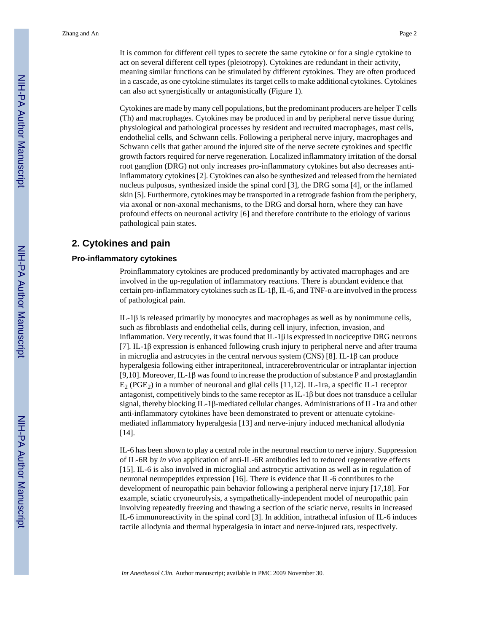It is common for different cell types to secrete the same cytokine or for a single cytokine to act on several different cell types (pleiotropy). Cytokines are redundant in their activity, meaning similar functions can be stimulated by different cytokines. They are often produced in a cascade, as one cytokine stimulates its target cells to make additional cytokines. Cytokines can also act synergistically or antagonistically (Figure 1).

Cytokines are made by many cell populations, but the predominant producers are helper T cells (Th) and macrophages. Cytokines may be produced in and by peripheral nerve tissue during physiological and pathological processes by resident and recruited macrophages, mast cells, endothelial cells, and Schwann cells. Following a peripheral nerve injury, macrophages and Schwann cells that gather around the injured site of the nerve secrete cytokines and specific growth factors required for nerve regeneration. Localized inflammatory irritation of the dorsal root ganglion (DRG) not only increases pro-inflammatory cytokines but also decreases antiinflammatory cytokines [2]. Cytokines can also be synthesized and released from the herniated nucleus pulposus, synthesized inside the spinal cord [3], the DRG soma [4], or the inflamed skin [5]. Furthermore, cytokines may be transported in a retrograde fashion from the periphery, via axonal or non-axonal mechanisms, to the DRG and dorsal horn, where they can have profound effects on neuronal activity [6] and therefore contribute to the etiology of various pathological pain states.

## **2. Cytokines and pain**

#### **Pro-inflammatory cytokines**

Proinflammatory cytokines are produced predominantly by activated macrophages and are involved in the up-regulation of inflammatory reactions. There is abundant evidence that certain pro-inflammatory cytokines such as IL-1β, IL-6, and TNF- $\alpha$  are involved in the process of pathological pain.

IL-1β is released primarily by monocytes and macrophages as well as by nonimmune cells, such as fibroblasts and endothelial cells, during cell injury, infection, invasion, and inflammation. Very recently, it was found that  $IL-1\beta$  is expressed in nociceptive DRG neurons [7]. IL-1β expression is enhanced following crush injury to peripheral nerve and after trauma in microglia and astrocytes in the central nervous system (CNS) [8]. IL-1 $\beta$  can produce hyperalgesia following either intraperitoneal, intracerebroventricular or intraplantar injection [9,10]. Moreover, IL-1β was found to increase the production of substance P and prostaglandin  $E_2$  (PGE<sub>2</sub>) in a number of neuronal and glial cells [11,12]. IL-1ra, a specific IL-1 receptor antagonist, competitively binds to the same receptor as IL-1β but does not transduce a cellular signal, thereby blocking IL-1β-mediated cellular changes. Administrations of IL-1ra and other anti-inflammatory cytokines have been demonstrated to prevent or attenuate cytokinemediated inflammatory hyperalgesia [13] and nerve-injury induced mechanical allodynia [14].

IL-6 has been shown to play a central role in the neuronal reaction to nerve injury. Suppression of IL-6R by *in vivo* application of anti-IL-6R antibodies led to reduced regenerative effects [15]. IL-6 is also involved in microglial and astrocytic activation as well as in regulation of neuronal neuropeptides expression [16]. There is evidence that IL-6 contributes to the development of neuropathic pain behavior following a peripheral nerve injury [17,18]. For example, sciatic cryoneurolysis, a sympathetically-independent model of neuropathic pain involving repeatedly freezing and thawing a section of the sciatic nerve, results in increased IL-6 immunoreactivity in the spinal cord [3]. In addition, intrathecal infusion of IL-6 induces tactile allodynia and thermal hyperalgesia in intact and nerve-injured rats, respectively.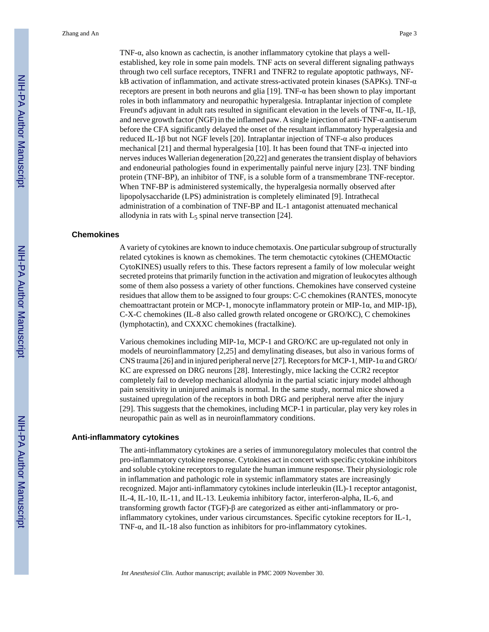TNF-α, also known as cachectin, is another inflammatory cytokine that plays a wellestablished, key role in some pain models. TNF acts on several different signaling pathways through two cell surface receptors, TNFR1 and TNFR2 to regulate apoptotic pathways, NFkB activation of inflammation, and activate stress-activated protein kinases (SAPKs). TNF-α receptors are present in both neurons and glia [19]. TNF- $\alpha$  has been shown to play important roles in both inflammatory and neuropathic hyperalgesia. Intraplantar injection of complete Freund's adjuvant in adult rats resulted in significant elevation in the levels of TNF-α, IL-1β, and nerve growth factor (NGF) in the inflamed paw. A single injection of anti-TNF- $\alpha$  antiserum before the CFA significantly delayed the onset of the resultant inflammatory hyperalgesia and reduced IL-1β but not NGF levels [20]. Intraplantar injection of TNF-α also produces mechanical [21] and thermal hyperalgesia [10]. It has been found that TNF- $\alpha$  injected into nerves induces Wallerian degeneration [20,22] and generates the transient display of behaviors and endoneurial pathologies found in experimentally painful nerve injury [23]. TNF binding protein (TNF-BP), an inhibitor of TNF, is a soluble form of a transmembrane TNF-receptor. When TNF-BP is administered systemically, the hyperalgesia normally observed after lipopolysaccharide (LPS) administration is completely eliminated [9]. Intrathecal administration of a combination of TNF-BP and IL-1 antagonist attenuated mechanical allodynia in rats with  $L_5$  spinal nerve transection [24].

#### **Chemokines**

A variety of cytokines are known to induce chemotaxis. One particular subgroup of structurally related cytokines is known as chemokines. The term chemotactic cytokines (CHEMOtactic CytoKINES) usually refers to this. These factors represent a family of low molecular weight secreted proteins that primarily function in the activation and migration of leukocytes although some of them also possess a variety of other functions. Chemokines have conserved cysteine residues that allow them to be assigned to four groups: C-C chemokines (RANTES, monocyte chemoattractant protein or MCP-1, monocyte inflammatory protein or MIP-1 $\alpha$ , and MIP-1 $\beta$ ), C-X-C chemokines (IL-8 also called growth related oncogene or GRO/KC), C chemokines (lymphotactin), and CXXXC chemokines (fractalkine).

Various chemokines including MIP-1α, MCP-1 and GRO/KC are up-regulated not only in models of neuroinflammatory [2,25] and demylinating diseases, but also in various forms of CNS trauma [26] and in injured peripheral nerve [27]. Receptors for MCP-1, MIP-1 $\alpha$  and GRO/ KC are expressed on DRG neurons [28]. Interestingly, mice lacking the CCR2 receptor completely fail to develop mechanical allodynia in the partial sciatic injury model although pain sensitivity in uninjured animals is normal. In the same study, normal mice showed a sustained upregulation of the receptors in both DRG and peripheral nerve after the injury [29]. This suggests that the chemokines, including MCP-1 in particular, play very key roles in neuropathic pain as well as in neuroinflammatory conditions.

#### **Anti-inflammatory cytokines**

The anti-inflammatory cytokines are a series of immunoregulatory molecules that control the pro-inflammatory cytokine response. Cytokines act in concert with specific cytokine inhibitors and soluble cytokine receptors to regulate the human immune response. Their physiologic role in inflammation and pathologic role in systemic inflammatory states are increasingly recognized. Major anti-inflammatory cytokines include interleukin (IL)-1 receptor antagonist, IL-4, IL-10, IL-11, and IL-13. Leukemia inhibitory factor, interferon-alpha, IL-6, and transforming growth factor (TGF)-β are categorized as either anti-inflammatory or proinflammatory cytokines, under various circumstances. Specific cytokine receptors for IL-1, TNF-α, and IL-18 also function as inhibitors for pro-inflammatory cytokines.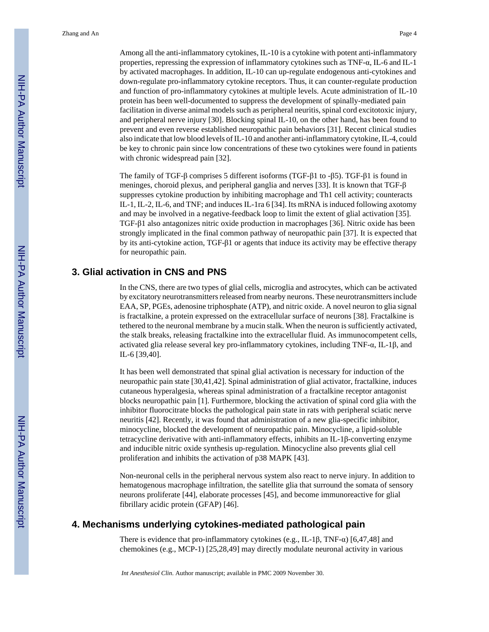Among all the anti-inflammatory cytokines, IL-10 is a cytokine with potent anti-inflammatory properties, repressing the expression of inflammatory cytokines such as TNF-α, IL-6 and IL-1 by activated macrophages. In addition, IL-10 can up-regulate endogenous anti-cytokines and down-regulate pro-inflammatory cytokine receptors. Thus, it can counter-regulate production and function of pro-inflammatory cytokines at multiple levels. Acute administration of IL-10 protein has been well-documented to suppress the development of spinally-mediated pain facilitation in diverse animal models such as peripheral neuritis, spinal cord excitotoxic injury, and peripheral nerve injury [30]. Blocking spinal IL-10, on the other hand, has been found to prevent and even reverse established neuropathic pain behaviors [31]. Recent clinical studies also indicate that low blood levels of IL-10 and another anti-inflammatory cytokine, IL-4, could be key to chronic pain since low concentrations of these two cytokines were found in patients with chronic widespread pain [32].

The family of TGF-β comprises 5 different isoforms (TGF-β1 to -β5). TGF-β1 is found in meninges, choroid plexus, and peripheral ganglia and nerves [33]. It is known that TGF-β suppresses cytokine production by inhibiting macrophage and Th1 cell activity; counteracts IL-1, IL-2, IL-6, and TNF; and induces IL-1ra 6 [34]. Its mRNA is induced following axotomy and may be involved in a negative-feedback loop to limit the extent of glial activation [35]. TGF-β1 also antagonizes nitric oxide production in macrophages [36]. Nitric oxide has been strongly implicated in the final common pathway of neuropathic pain [37]. It is expected that by its anti-cytokine action,  $TGF-\beta1$  or agents that induce its activity may be effective therapy for neuropathic pain.

### **3. Glial activation in CNS and PNS**

In the CNS, there are two types of glial cells, microglia and astrocytes, which can be activated by excitatory neurotransmitters released from nearby neurons. These neurotransmitters include EAA, SP, PGEs, adenosine triphosphate (ATP), and nitric oxide. A novel neuron to glia signal is fractalkine, a protein expressed on the extracellular surface of neurons [38]. Fractalkine is tethered to the neuronal membrane by a mucin stalk. When the neuron is sufficiently activated, the stalk breaks, releasing fractalkine into the extracellular fluid. As immunocompetent cells, activated glia release several key pro-inflammatory cytokines, including TNF-α, IL-1β, and IL-6 [39,40].

It has been well demonstrated that spinal glial activation is necessary for induction of the neuropathic pain state [30,41,42]. Spinal administration of glial activator, fractalkine, induces cutaneous hyperalgesia, whereas spinal administration of a fractalkine receptor antagonist blocks neuropathic pain [1]. Furthermore, blocking the activation of spinal cord glia with the inhibitor fluorocitrate blocks the pathological pain state in rats with peripheral sciatic nerve neuritis [42]. Recently, it was found that administration of a new glia-specific inhibitor, minocycline, blocked the development of neuropathic pain. Minocycline, a lipid-soluble tetracycline derivative with anti-inflammatory effects, inhibits an IL-1β-converting enzyme and inducible nitric oxide synthesis up-regulation. Minocycline also prevents glial cell proliferation and inhibits the activation of p38 MAPK [43].

Non-neuronal cells in the peripheral nervous system also react to nerve injury. In addition to hematogenous macrophage infiltration, the satellite glia that surround the somata of sensory neurons proliferate [44], elaborate processes [45], and become immunoreactive for glial fibrillary acidic protein (GFAP) [46].

#### **4. Mechanisms underlying cytokines-mediated pathological pain**

There is evidence that pro-inflammatory cytokines (e.g., IL-1 $\beta$ , TNF- $\alpha$ ) [6,47,48] and chemokines (e.g., MCP-1) [25,28,49] may directly modulate neuronal activity in various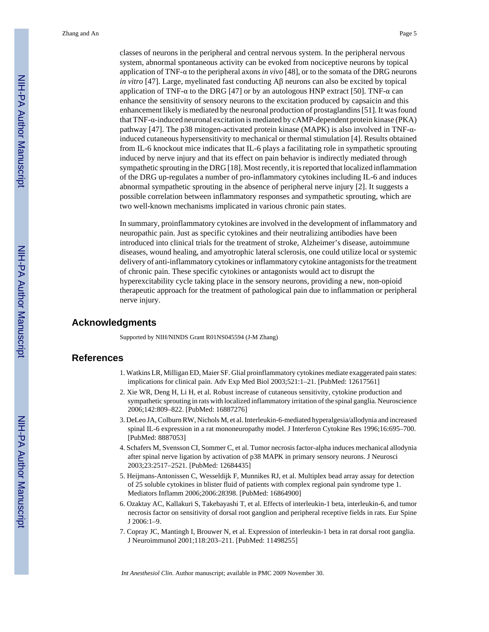classes of neurons in the peripheral and central nervous system. In the peripheral nervous system, abnormal spontaneous activity can be evoked from nociceptive neurons by topical application of TNF-α to the peripheral axons *in vivo* [48], or to the somata of the DRG neurons *in vitro* [47]. Large, myelinated fast conducting Aβ neurons can also be excited by topical application of TNF- $\alpha$  to the DRG [47] or by an autologous HNP extract [50]. TNF- $\alpha$  can enhance the sensitivity of sensory neurons to the excitation produced by capsaicin and this enhancement likely is mediated by the neuronal production of prostaglandins [51]. It was found that TNF-α-induced neuronal excitation is mediated by cAMP-dependent protein kinase (PKA) pathway [47]. The p38 mitogen-activated protein kinase (MAPK) is also involved in TNF-αinduced cutaneous hypersensitivity to mechanical or thermal stimulation [4]. Results obtained from IL-6 knockout mice indicates that IL-6 plays a facilitating role in sympathetic sprouting induced by nerve injury and that its effect on pain behavior is indirectly mediated through sympathetic sprouting in the DRG [18]. Most recently, it is reported that localized inflammation of the DRG up-regulates a number of pro-inflammatory cytokines including IL-6 and induces abnormal sympathetic sprouting in the absence of peripheral nerve injury [2]. It suggests a possible correlation between inflammatory responses and sympathetic sprouting, which are two well-known mechanisms implicated in various chronic pain states.

In summary, proinflammatory cytokines are involved in the development of inflammatory and neuropathic pain. Just as specific cytokines and their neutralizing antibodies have been introduced into clinical trials for the treatment of stroke, Alzheimer's disease, autoimmune diseases, wound healing, and amyotrophic lateral sclerosis, one could utilize local or systemic delivery of anti-inflammatory cytokines or inflammatory cytokine antagonists for the treatment of chronic pain. These specific cytokines or antagonists would act to disrupt the hyperexcitability cycle taking place in the sensory neurons, providing a new, non-opioid therapeutic approach for the treatment of pathological pain due to inflammation or peripheral nerve injury.

#### **Acknowledgments**

Supported by NIH/NINDS Grant R01NS045594 (J-M Zhang)

#### **References**

- 1. Watkins LR, Milligan ED, Maier SF. Glial proinflammatory cytokines mediate exaggerated pain states: implications for clinical pain. Adv Exp Med Biol 2003;521:1–21. [PubMed: 12617561]
- 2. Xie WR, Deng H, Li H, et al. Robust increase of cutaneous sensitivity, cytokine production and sympathetic sprouting in rats with localized inflammatory irritation of the spinal ganglia. Neuroscience 2006;142:809–822. [PubMed: 16887276]
- 3. DeLeo JA, Colburn RW, Nichols M, et al. Interleukin-6-mediated hyperalgesia/allodynia and increased spinal IL-6 expression in a rat mononeuropathy model. J Interferon Cytokine Res 1996;16:695–700. [PubMed: 8887053]
- 4. Schafers M, Svensson CI, Sommer C, et al. Tumor necrosis factor-alpha induces mechanical allodynia after spinal nerve ligation by activation of p38 MAPK in primary sensory neurons. J Neurosci 2003;23:2517–2521. [PubMed: 12684435]
- 5. Heijmans-Antonissen C, Wesseldijk F, Munnikes RJ, et al. Multiplex bead array assay for detection of 25 soluble cytokines in blister fluid of patients with complex regional pain syndrome type 1. Mediators Inflamm 2006;2006:28398. [PubMed: 16864900]
- 6. Ozaktay AC, Kallakuri S, Takebayashi T, et al. Effects of interleukin-1 beta, interleukin-6, and tumor necrosis factor on sensitivity of dorsal root ganglion and peripheral receptive fields in rats. Eur Spine J 2006:1–9.
- 7. Copray JC, Mantingh I, Brouwer N, et al. Expression of interleukin-1 beta in rat dorsal root ganglia. J Neuroimmunol 2001;118:203–211. [PubMed: 11498255]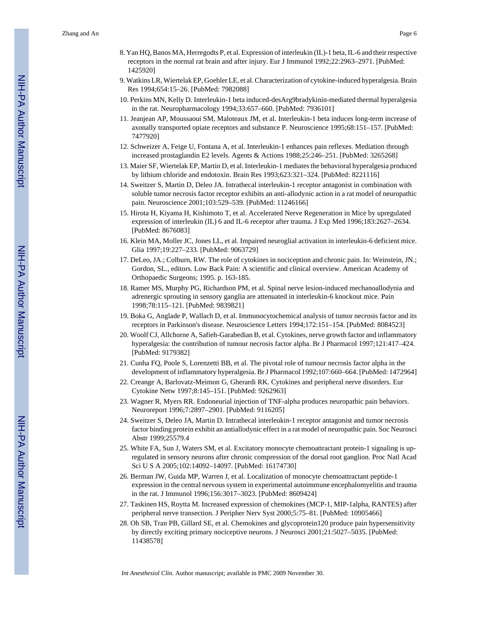- 8. Yan HQ, Banos MA, Herregodts P, et al. Expression of interleukin (IL)-1 beta, IL-6 and their respective receptors in the normal rat brain and after injury. Eur J Immunol 1992;22:2963–2971. [PubMed: 1425920]
- 9. Watkins LR, Wiertelak EP, Goehler LE, et al. Characterization of cytokine-induced hyperalgesia. Brain Res 1994;654:15–26. [PubMed: 7982088]
- 10. Perkins MN, Kelly D. Interleukin-1 beta induced-desArg9bradykinin-mediated thermal hyperalgesia in the rat. Neuropharmacology 1994;33:657–660. [PubMed: 7936101]
- 11. Jeanjean AP, Moussaoui SM, Maloteaux JM, et al. Interleukin-1 beta induces long-term increase of axonally transported opiate receptors and substance P. Neuroscience 1995;68:151–157. [PubMed: 7477920]
- 12. Schweizer A, Feige U, Fontana A, et al. Interleukin-1 enhances pain reflexes. Mediation through increased prostaglandin E2 levels. Agents & Actions 1988;25:246–251. [PubMed: 3265268]
- 13. Maier SF, Wiertelak EP, Martin D, et al. Interleukin-1 mediates the behavioral hyperalgesia produced by lithium chloride and endotoxin. Brain Res 1993;623:321–324. [PubMed: 8221116]
- 14. Sweitzer S, Martin D, Deleo JA. Intrathecal interleukin-1 receptor antagonist in combination with soluble tumor necrosis factor receptor exhibits an anti-allodynic action in a rat model of neuropathic pain. Neuroscience 2001;103:529–539. [PubMed: 11246166]
- 15. Hirota H, Kiyama H, Kishimoto T, et al. Accelerated Nerve Regeneration in Mice by upregulated expression of interleukin (IL) 6 and IL-6 receptor after trauma. J Exp Med 1996;183:2627–2634. [PubMed: 8676083]
- 16. Klein MA, Moller JC, Jones LL, et al. Impaired neuroglial activation in interleukin-6 deficient mice. Glia 1997;19:227–233. [PubMed: 9063729]
- 17. DeLeo, JA.; Colburn, RW. The role of cytokines in nociception and chronic pain. In: Weinstein, JN.; Gordon, SL., editors. Low Back Pain: A scientific and clinical overview. American Academy of Orthopaedic Surgeons; 1995. p. 163-185.
- 18. Ramer MS, Murphy PG, Richardson PM, et al. Spinal nerve lesion-induced mechanoallodynia and adrenergic sprouting in sensory ganglia are attenuated in interleukin-6 knockout mice. Pain 1998;78:115–121. [PubMed: 9839821]
- 19. Boka G, Anglade P, Wallach D, et al. Immunocytochemical analysis of tumor necrosis factor and its receptors in Parkinson's disease. Neuroscience Letters 1994;172:151–154. [PubMed: 8084523]
- 20. Woolf CJ, Allchorne A, Safieh-Garabedian B, et al. Cytokines, nerve growth factor and inflammatory hyperalgesia: the contribution of tumour necrosis factor alpha. Br J Pharmacol 1997;121:417–424. [PubMed: 9179382]
- 21. Cunha FQ, Poole S, Lorenzetti BB, et al. The pivotal role of tumour necrosis factor alpha in the development of inflammatory hyperalgesia. Br J Pharmacol 1992;107:660–664. [PubMed: 1472964]
- 22. Creange A, Barlovatz-Meimon G, Gherardi RK. Cytokines and peripheral nerve disorders. Eur Cytokine Netw 1997;8:145–151. [PubMed: 9262963]
- 23. Wagner R, Myers RR. Endoneurial injection of TNF-alpha produces neuropathic pain behaviors. Neuroreport 1996;7:2897–2901. [PubMed: 9116205]
- 24. Sweitzer S, Deleo JA, Martin D. Intrathecal interleukin-1 receptor antagonist and tumor necrosis factor binding protein exhibit an antiallodynic effect in a rat model of neuropathic pain. Soc Neurosci Abstr 1999;25579.4
- 25. White FA, Sun J, Waters SM, et al. Excitatory monocyte chemoattractant protein-1 signaling is upregulated in sensory neurons after chronic compression of the dorsal root ganglion. Proc Natl Acad Sci U S A 2005;102:14092–14097. [PubMed: 16174730]
- 26. Berman JW, Guida MP, Warren J, et al. Localization of monocyte chemoattractant peptide-1 expression in the central nervous system in experimental autoimmune encephalomyelitis and trauma in the rat. J Immunol 1996;156:3017–3023. [PubMed: 8609424]
- 27. Taskinen HS, Roytta M. Increased expression of chemokines (MCP-1, MIP-1alpha, RANTES) after peripheral nerve transection. J Peripher Nerv Syst 2000;5:75–81. [PubMed: 10905466]
- 28. Oh SB, Tran PB, Gillard SE, et al. Chemokines and glycoprotein120 produce pain hypersensitivity by directly exciting primary nociceptive neurons. J Neurosci 2001;21:5027–5035. [PubMed: 11438578]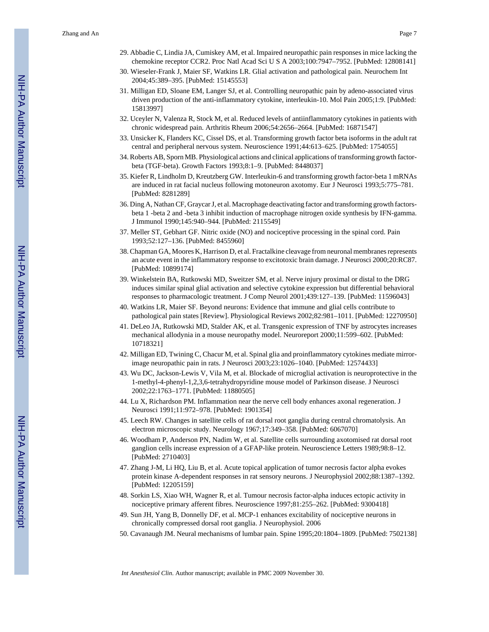- 29. Abbadie C, Lindia JA, Cumiskey AM, et al. Impaired neuropathic pain responses in mice lacking the chemokine receptor CCR2. Proc Natl Acad Sci U S A 2003;100:7947–7952. [PubMed: 12808141]
- 30. Wieseler-Frank J, Maier SF, Watkins LR. Glial activation and pathological pain. Neurochem Int 2004;45:389–395. [PubMed: 15145553]
- 31. Milligan ED, Sloane EM, Langer SJ, et al. Controlling neuropathic pain by adeno-associated virus driven production of the anti-inflammatory cytokine, interleukin-10. Mol Pain 2005;1:9. [PubMed: 15813997]
- 32. Uceyler N, Valenza R, Stock M, et al. Reduced levels of antiinflammatory cytokines in patients with chronic widespread pain. Arthritis Rheum 2006;54:2656–2664. [PubMed: 16871547]
- 33. Unsicker K, Flanders KC, Cissel DS, et al. Transforming growth factor beta isoforms in the adult rat central and peripheral nervous system. Neuroscience 1991;44:613–625. [PubMed: 1754055]
- 34. Roberts AB, Sporn MB. Physiological actions and clinical applications of transforming growth factorbeta (TGF-beta). Growth Factors 1993;8:1–9. [PubMed: 8448037]
- 35. Kiefer R, Lindholm D, Kreutzberg GW. Interleukin-6 and transforming growth factor-beta 1 mRNAs are induced in rat facial nucleus following motoneuron axotomy. Eur J Neurosci 1993;5:775–781. [PubMed: 8281289]
- 36. Ding A, Nathan CF, Graycar J, et al. Macrophage deactivating factor and transforming growth factorsbeta 1 -beta 2 and -beta 3 inhibit induction of macrophage nitrogen oxide synthesis by IFN-gamma. J Immunol 1990;145:940–944. [PubMed: 2115549]
- 37. Meller ST, Gebhart GF. Nitric oxide (NO) and nociceptive processing in the spinal cord. Pain 1993;52:127–136. [PubMed: 8455960]
- 38. Chapman GA, Moores K, Harrison D, et al. Fractalkine cleavage from neuronal membranes represents an acute event in the inflammatory response to excitotoxic brain damage. J Neurosci 2000;20:RC87. [PubMed: 10899174]
- 39. Winkelstein BA, Rutkowski MD, Sweitzer SM, et al. Nerve injury proximal or distal to the DRG induces similar spinal glial activation and selective cytokine expression but differential behavioral responses to pharmacologic treatment. J Comp Neurol 2001;439:127–139. [PubMed: 11596043]
- 40. Watkins LR, Maier SF. Beyond neurons: Evidence that immune and glial cells contribute to pathological pain states [Review]. Physiological Reviews 2002;82:981–1011. [PubMed: 12270950]
- 41. DeLeo JA, Rutkowski MD, Stalder AK, et al. Transgenic expression of TNF by astrocytes increases mechanical allodynia in a mouse neuropathy model. Neuroreport 2000;11:599–602. [PubMed: 10718321]
- 42. Milligan ED, Twining C, Chacur M, et al. Spinal glia and proinflammatory cytokines mediate mirrorimage neuropathic pain in rats. J Neurosci 2003;23:1026–1040. [PubMed: 12574433]
- 43. Wu DC, Jackson-Lewis V, Vila M, et al. Blockade of microglial activation is neuroprotective in the 1-methyl-4-phenyl-1,2,3,6-tetrahydropyridine mouse model of Parkinson disease. J Neurosci 2002;22:1763–1771. [PubMed: 11880505]
- 44. Lu X, Richardson PM. Inflammation near the nerve cell body enhances axonal regeneration. J Neurosci 1991;11:972–978. [PubMed: 1901354]
- 45. Leech RW. Changes in satellite cells of rat dorsal root ganglia during central chromatolysis. An electron microscopic study. Neurology 1967;17:349–358. [PubMed: 6067070]
- 46. Woodham P, Anderson PN, Nadim W, et al. Satellite cells surrounding axotomised rat dorsal root ganglion cells increase expression of a GFAP-like protein. Neuroscience Letters 1989;98:8–12. [PubMed: 2710403]
- 47. Zhang J-M, Li HQ, Liu B, et al. Acute topical application of tumor necrosis factor alpha evokes protein kinase A-dependent responses in rat sensory neurons. J Neurophysiol 2002;88:1387–1392. [PubMed: 12205159]
- 48. Sorkin LS, Xiao WH, Wagner R, et al. Tumour necrosis factor-alpha induces ectopic activity in nociceptive primary afferent fibres. Neuroscience 1997;81:255–262. [PubMed: 9300418]
- 49. Sun JH, Yang B, Donnelly DF, et al. MCP-1 enhances excitability of nociceptive neurons in chronically compressed dorsal root ganglia. J Neurophysiol. 2006
- 50. Cavanaugh JM. Neural mechanisms of lumbar pain. Spine 1995;20:1804–1809. [PubMed: 7502138]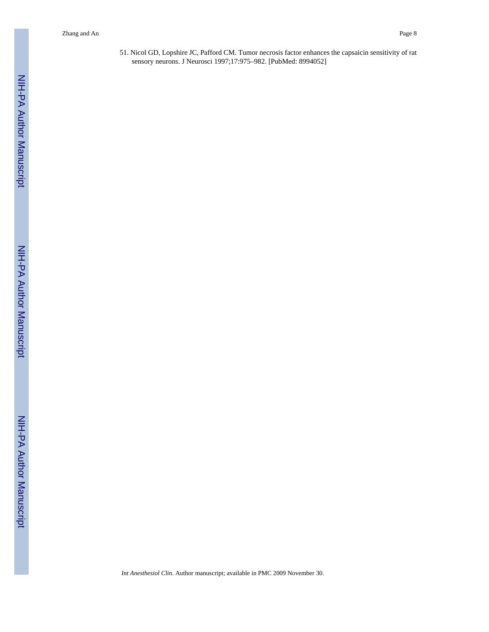51. Nicol GD, Lopshire JC, Pafford CM. Tumor necrosis factor enhances the capsaicin sensitivity of rat sensory neurons. J Neurosci 1997;17:975–982. [PubMed: 8994052]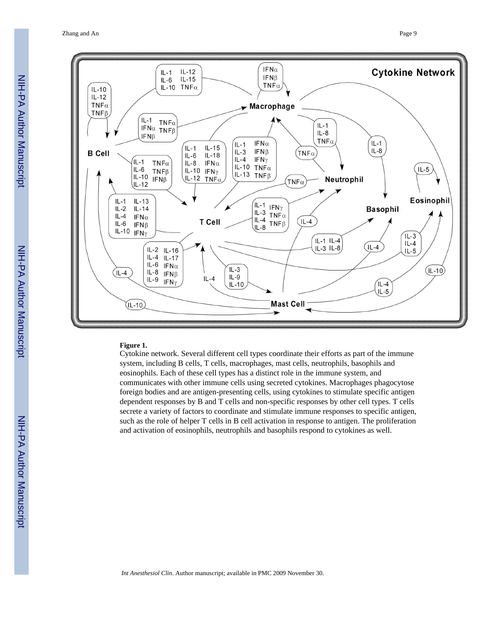Zhang and An Page 9



#### **Figure 1.**

Cytokine network. Several different cell types coordinate their efforts as part of the immune system, including B cells, T cells, macrophages, mast cells, neutrophils, basophils and eosinophils. Each of these cell types has a distinct role in the immune system, and communicates with other immune cells using secreted cytokines. Macrophages phagocytose foreign bodies and are antigen-presenting cells, using cytokines to stimulate specific antigen dependent responses by B and T cells and non-specific responses by other cell types. T cells secrete a variety of factors to coordinate and stimulate immune responses to specific antigen, such as the role of helper T cells in B cell activation in response to antigen. The proliferation and activation of eosinophils, neutrophils and basophils respond to cytokines as well.